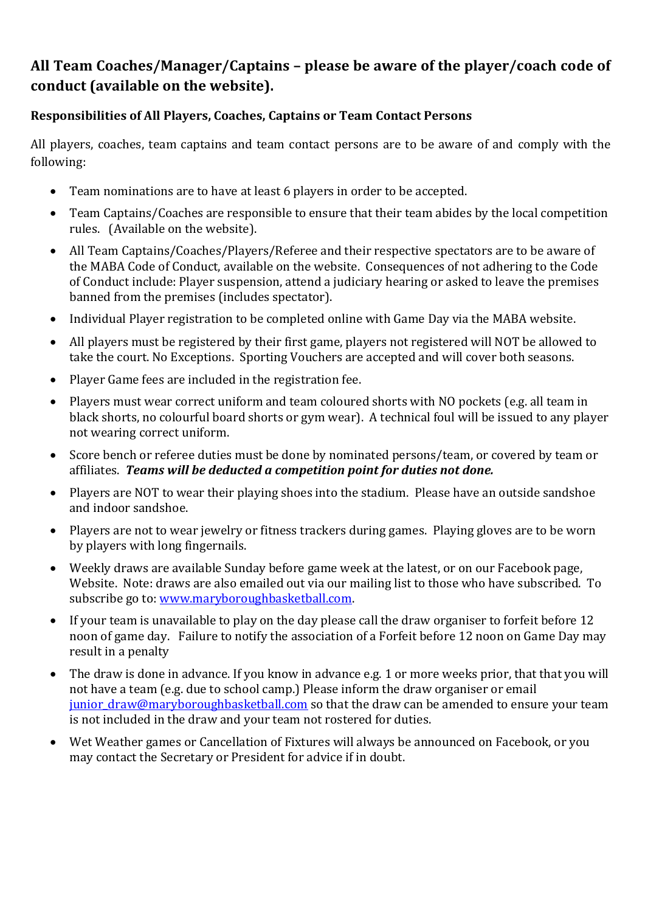## **All Team Coaches/Manager/Captains – please be aware of the player/coach code of conduct (available on the website).**

## **Responsibilities of All Players, Coaches, Captains or Team Contact Persons**

All players, coaches, team captains and team contact persons are to be aware of and comply with the following:

- Team nominations are to have at least 6 players in order to be accepted.
- Team Captains/Coaches are responsible to ensure that their team abides by the local competition rules. (Available on the website).
- All Team Captains/Coaches/Players/Referee and their respective spectators are to be aware of the MABA Code of Conduct, available on the website. Consequences of not adhering to the Code of Conduct include: Player suspension, attend a judiciary hearing or asked to leave the premises banned from the premises (includes spectator).
- Individual Player registration to be completed online with Game Day via the MABA website.
- All players must be registered by their first game, players not registered will NOT be allowed to take the court. No Exceptions. Sporting Vouchers are accepted and will cover both seasons.
- Player Game fees are included in the registration fee.
- Players must wear correct uniform and team coloured shorts with NO pockets (e.g. all team in black shorts, no colourful board shorts or gym wear). A technical foul will be issued to any player not wearing correct uniform.
- Score bench or referee duties must be done by nominated persons/team, or covered by team or affiliates. *Teams will be deducted a competition point for duties not done.*
- Players are NOT to wear their playing shoes into the stadium. Please have an outside sandshoe and indoor sandshoe.
- Players are not to wear jewelry or fitness trackers during games. Playing gloves are to be worn by players with long fingernails.
- Weekly draws are available Sunday before game week at the latest, or on our Facebook page, Website. Note: draws are also emailed out via our mailing list to those who have subscribed. To subscribe go to: www.maryboroughbasketball.com.
- If your team is unavailable to play on the day please call the draw organiser to forfeit before 12 noon of game day. Failure to notify the association of a Forfeit before 12 noon on Game Day may result in a penalty
- The draw is done in advance. If you know in advance e.g. 1 or more weeks prior, that that you will not have a team (e.g. due to school camp.) Please inform the draw organiser or email junior draw@maryboroughbasketball.com so that the draw can be amended to ensure your team is not included in the draw and your team not rostered for duties.
- Wet Weather games or Cancellation of Fixtures will always be announced on Facebook, or you may contact the Secretary or President for advice if in doubt.